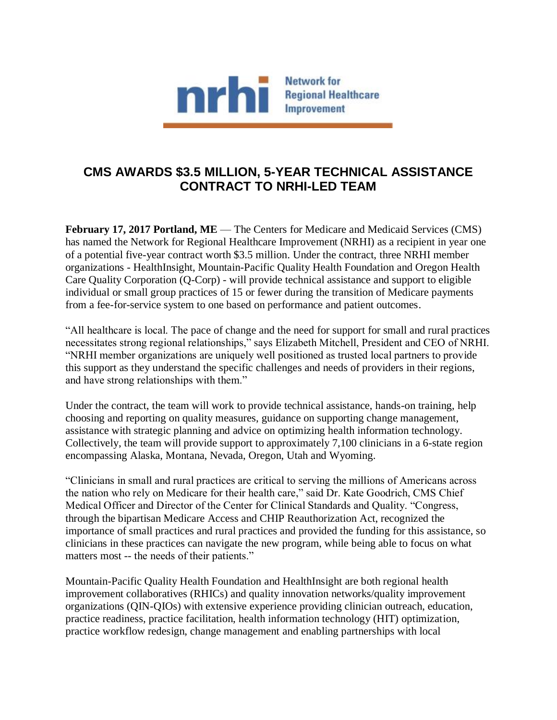

## **CMS AWARDS \$3.5 MILLION, 5-YEAR TECHNICAL ASSISTANCE CONTRACT TO NRHI-LED TEAM**

**February 17, 2017 Portland, ME** — The Centers for Medicare and Medicaid Services (CMS) has named the Network for Regional Healthcare Improvement (NRHI) as a recipient in year one of a potential five-year contract worth \$3.5 million. Under the contract, three NRHI member organizations - HealthInsight, Mountain-Pacific Quality Health Foundation and Oregon Health Care Quality Corporation (Q-Corp) - will provide technical assistance and support to eligible individual or small group practices of 15 or fewer during the transition of Medicare payments from a fee-for-service system to one based on performance and patient outcomes.

"All healthcare is local. The pace of change and the need for support for small and rural practices necessitates strong regional relationships," says Elizabeth Mitchell, President and CEO of NRHI. "NRHI member organizations are uniquely well positioned as trusted local partners to provide this support as they understand the specific challenges and needs of providers in their regions, and have strong relationships with them."

Under the contract, the team will work to provide technical assistance, hands-on training, help choosing and reporting on quality measures, guidance on supporting change management, assistance with strategic planning and advice on optimizing health information technology. Collectively, the team will provide support to approximately 7,100 clinicians in a 6-state region encompassing Alaska, Montana, Nevada, Oregon, Utah and Wyoming.

"Clinicians in small and rural practices are critical to serving the millions of Americans across the nation who rely on Medicare for their health care," said Dr. Kate Goodrich, CMS Chief Medical Officer and Director of the Center for Clinical Standards and Quality. "Congress, through the bipartisan Medicare Access and CHIP Reauthorization Act, recognized the importance of small practices and rural practices and provided the funding for this assistance, so clinicians in these practices can navigate the new program, while being able to focus on what matters most -- the needs of their patients."

Mountain-Pacific Quality Health Foundation and HealthInsight are both regional health improvement collaboratives (RHICs) and quality innovation networks/quality improvement organizations (QIN-QIOs) with extensive experience providing clinician outreach, education, practice readiness, practice facilitation, health information technology (HIT) optimization, practice workflow redesign, change management and enabling partnerships with local